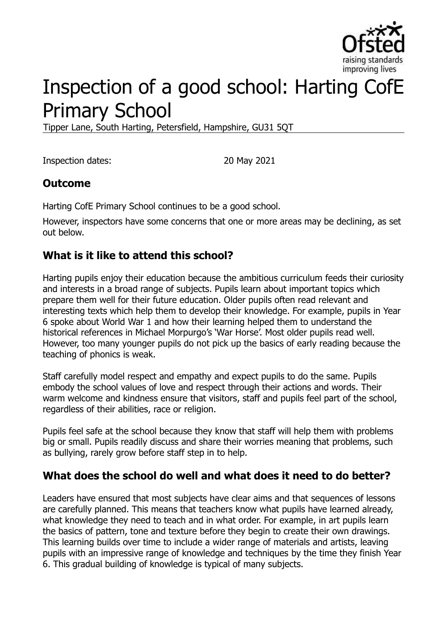

# Inspection of a good school: Harting CofE Primary School

Tipper Lane, South Harting, Petersfield, Hampshire, GU31 5QT

Inspection dates: 20 May 2021

#### **Outcome**

Harting CofE Primary School continues to be a good school.

However, inspectors have some concerns that one or more areas may be declining, as set out below.

#### **What is it like to attend this school?**

Harting pupils enjoy their education because the ambitious curriculum feeds their curiosity and interests in a broad range of subjects. Pupils learn about important topics which prepare them well for their future education. Older pupils often read relevant and interesting texts which help them to develop their knowledge. For example, pupils in Year 6 spoke about World War 1 and how their learning helped them to understand the historical references in Michael Morpurgo's 'War Horse'. Most older pupils read well. However, too many younger pupils do not pick up the basics of early reading because the teaching of phonics is weak.

Staff carefully model respect and empathy and expect pupils to do the same. Pupils embody the school values of love and respect through their actions and words. Their warm welcome and kindness ensure that visitors, staff and pupils feel part of the school, regardless of their abilities, race or religion.

Pupils feel safe at the school because they know that staff will help them with problems big or small. Pupils readily discuss and share their worries meaning that problems, such as bullying, rarely grow before staff step in to help.

#### **What does the school do well and what does it need to do better?**

Leaders have ensured that most subjects have clear aims and that sequences of lessons are carefully planned. This means that teachers know what pupils have learned already, what knowledge they need to teach and in what order. For example, in art pupils learn the basics of pattern, tone and texture before they begin to create their own drawings. This learning builds over time to include a wider range of materials and artists, leaving pupils with an impressive range of knowledge and techniques by the time they finish Year 6. This gradual building of knowledge is typical of many subjects.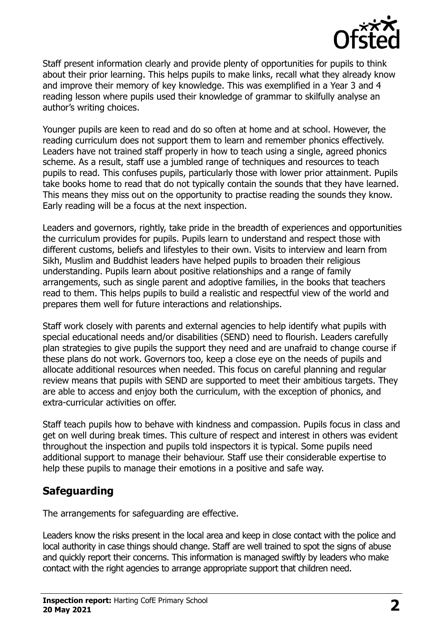

Staff present information clearly and provide plenty of opportunities for pupils to think about their prior learning. This helps pupils to make links, recall what they already know and improve their memory of key knowledge. This was exemplified in a Year 3 and 4 reading lesson where pupils used their knowledge of grammar to skilfully analyse an author's writing choices.

Younger pupils are keen to read and do so often at home and at school. However, the reading curriculum does not support them to learn and remember phonics effectively. Leaders have not trained staff properly in how to teach using a single, agreed phonics scheme. As a result, staff use a jumbled range of techniques and resources to teach pupils to read. This confuses pupils, particularly those with lower prior attainment. Pupils take books home to read that do not typically contain the sounds that they have learned. This means they miss out on the opportunity to practise reading the sounds they know. Early reading will be a focus at the next inspection.

Leaders and governors, rightly, take pride in the breadth of experiences and opportunities the curriculum provides for pupils. Pupils learn to understand and respect those with different customs, beliefs and lifestyles to their own. Visits to interview and learn from Sikh, Muslim and Buddhist leaders have helped pupils to broaden their religious understanding. Pupils learn about positive relationships and a range of family arrangements, such as single parent and adoptive families, in the books that teachers read to them. This helps pupils to build a realistic and respectful view of the world and prepares them well for future interactions and relationships.

Staff work closely with parents and external agencies to help identify what pupils with special educational needs and/or disabilities (SEND) need to flourish. Leaders carefully plan strategies to give pupils the support they need and are unafraid to change course if these plans do not work. Governors too, keep a close eye on the needs of pupils and allocate additional resources when needed. This focus on careful planning and regular review means that pupils with SEND are supported to meet their ambitious targets. They are able to access and enjoy both the curriculum, with the exception of phonics, and extra-curricular activities on offer.

Staff teach pupils how to behave with kindness and compassion. Pupils focus in class and get on well during break times. This culture of respect and interest in others was evident throughout the inspection and pupils told inspectors it is typical. Some pupils need additional support to manage their behaviour. Staff use their considerable expertise to help these pupils to manage their emotions in a positive and safe way.

### **Safeguarding**

The arrangements for safeguarding are effective.

Leaders know the risks present in the local area and keep in close contact with the police and local authority in case things should change. Staff are well trained to spot the signs of abuse and quickly report their concerns. This information is managed swiftly by leaders who make contact with the right agencies to arrange appropriate support that children need.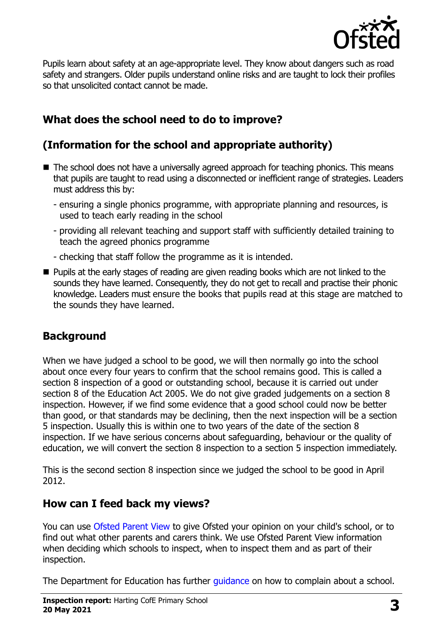

Pupils learn about safety at an age-appropriate level. They know about dangers such as road safety and strangers. Older pupils understand online risks and are taught to lock their profiles so that unsolicited contact cannot be made.

## **What does the school need to do to improve?**

## **(Information for the school and appropriate authority)**

- The school does not have a universally agreed approach for teaching phonics. This means that pupils are taught to read using a disconnected or inefficient range of strategies. Leaders must address this by:
	- ensuring a single phonics programme, with appropriate planning and resources, is used to teach early reading in the school
	- providing all relevant teaching and support staff with sufficiently detailed training to teach the agreed phonics programme
	- checking that staff follow the programme as it is intended.
- **Pupils at the early stages of reading are given reading books which are not linked to the** sounds they have learned. Consequently, they do not get to recall and practise their phonic knowledge. Leaders must ensure the books that pupils read at this stage are matched to the sounds they have learned.

### **Background**

When we have judged a school to be good, we will then normally go into the school about once every four years to confirm that the school remains good. This is called a section 8 inspection of a good or outstanding school, because it is carried out under section 8 of the Education Act 2005. We do not give graded judgements on a section 8 inspection. However, if we find some evidence that a good school could now be better than good, or that standards may be declining, then the next inspection will be a section 5 inspection. Usually this is within one to two years of the date of the section 8 inspection. If we have serious concerns about safeguarding, behaviour or the quality of education, we will convert the section 8 inspection to a section 5 inspection immediately.

This is the second section 8 inspection since we judged the school to be good in April 2012.

### **How can I feed back my views?**

You can use [Ofsted Parent View](https://parentview.ofsted.gov.uk/) to give Ofsted your opinion on your child's school, or to find out what other parents and carers think. We use Ofsted Parent View information when deciding which schools to inspect, when to inspect them and as part of their inspection.

The Department for Education has further quidance on how to complain about a school.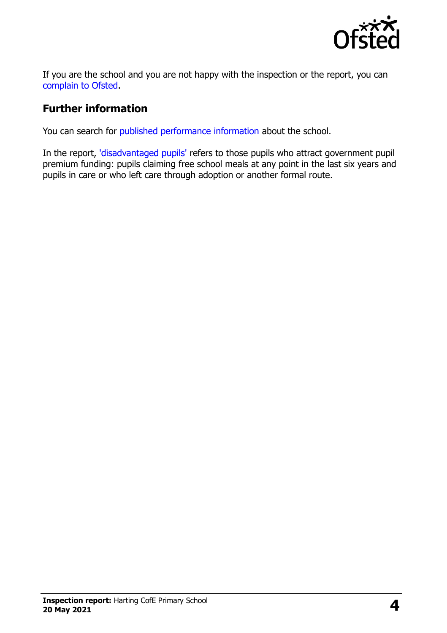

If you are the school and you are not happy with the inspection or the report, you can [complain to Ofsted.](https://www.gov.uk/complain-ofsted-report)

#### **Further information**

You can search for [published performance information](http://www.compare-school-performance.service.gov.uk/) about the school.

In the report, ['disadvantaged pupils'](http://www.gov.uk/guidance/pupil-premium-information-for-schools-and-alternative-provision-settings) refers to those pupils who attract government pupil premium funding: pupils claiming free school meals at any point in the last six years and pupils in care or who left care through adoption or another formal route.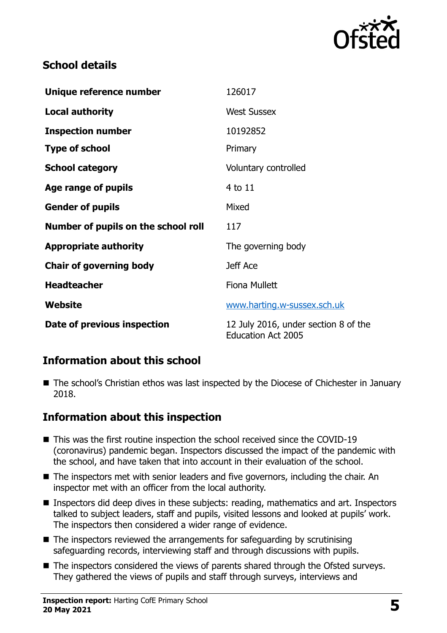

### **School details**

| Unique reference number             | 126017                                                            |
|-------------------------------------|-------------------------------------------------------------------|
| <b>Local authority</b>              | <b>West Sussex</b>                                                |
| <b>Inspection number</b>            | 10192852                                                          |
| <b>Type of school</b>               | Primary                                                           |
| <b>School category</b>              | Voluntary controlled                                              |
| Age range of pupils                 | 4 to 11                                                           |
| <b>Gender of pupils</b>             | Mixed                                                             |
| Number of pupils on the school roll | 117                                                               |
| <b>Appropriate authority</b>        | The governing body                                                |
| <b>Chair of governing body</b>      | Jeff Ace                                                          |
| <b>Headteacher</b>                  | Fiona Mullett                                                     |
| Website                             | www.harting.w-sussex.sch.uk                                       |
| Date of previous inspection         | 12 July 2016, under section 8 of the<br><b>Education Act 2005</b> |

### **Information about this school**

■ The school's Christian ethos was last inspected by the Diocese of Chichester in January 2018.

#### **Information about this inspection**

- This was the first routine inspection the school received since the COVID-19 (coronavirus) pandemic began. Inspectors discussed the impact of the pandemic with the school, and have taken that into account in their evaluation of the school.
- The inspectors met with senior leaders and five governors, including the chair. An inspector met with an officer from the local authority.
- Inspectors did deep dives in these subjects: reading, mathematics and art. Inspectors talked to subject leaders, staff and pupils, visited lessons and looked at pupils' work. The inspectors then considered a wider range of evidence.
- The inspectors reviewed the arrangements for safeguarding by scrutinising safeguarding records, interviewing staff and through discussions with pupils.
- The inspectors considered the views of parents shared through the Ofsted surveys. They gathered the views of pupils and staff through surveys, interviews and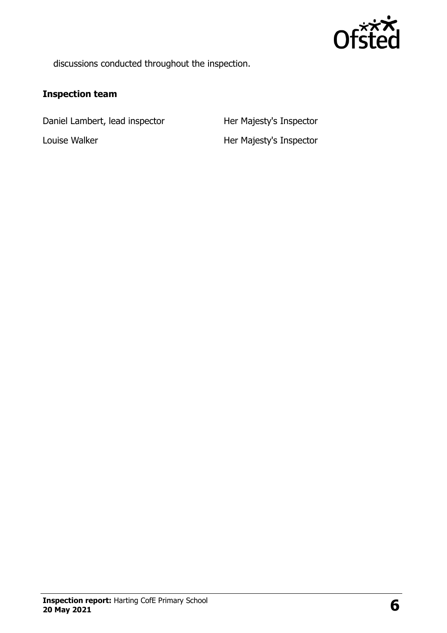

discussions conducted throughout the inspection.

#### **Inspection team**

Daniel Lambert, lead inspector Her Majesty's Inspector

Louise Walker **Her Majesty's Inspector**